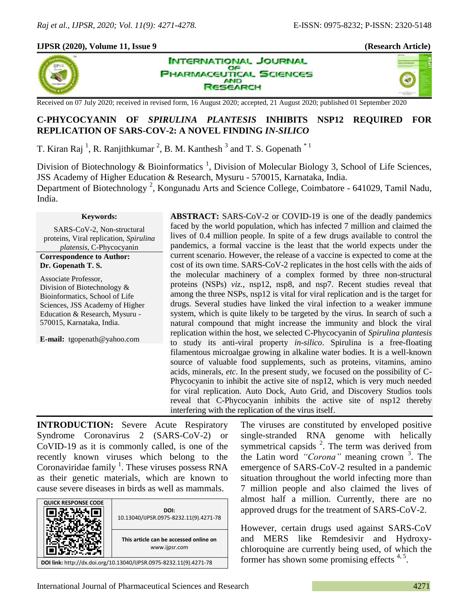## **IJPSR (2020), Volume 11, Issue 9 (Research Article)**



**INTERNATIONAL JOURNAL** OF **HARMACEUTICAL SCIENCES AND ESEARCH** 

×,

Received on 07 July 2020; received in revised form, 16 August 2020; accepted, 21 August 2020; published 01 September 2020

# **C-PHYCOCYANIN OF** *SPIRULINA PLANTESIS* **INHIBITS NSP12 REQUIRED FOR REPLICATION OF SARS-COV-2: A NOVEL FINDING** *IN-SILICO*

T. Kiran Raj<sup>1</sup>, R. Ranjithkumar<sup>2</sup>, B. M. Kanthesh<sup>3</sup> and T. S. Gopenath<sup>\*1</sup>

Division of Biotechnology & Bioinformatics<sup>1</sup>, Division of Molecular Biology 3, School of Life Sciences, JSS Academy of Higher Education & Research, Mysuru - 570015, Karnataka, India. Department of Biotechnology<sup>2</sup>, Kongunadu Arts and Science College, Coimbatore - 641029, Tamil Nadu,

India.

#### **Keywords:**

SARS-CoV-2, Non-structural proteins, Viral replication, *Spirulina platensis*, C-Phycocyanin

**Correspondence to Author: Dr. Gopenath T. S.**

Associate Professor, Division of Biotechnology & Bioinformatics, School of Life Sciences, JSS Academy of Higher Education & Research, Mysuru - 570015, Karnataka, India.

**E-mail:** tgopenath@yahoo.com

**ABSTRACT:** SARS-CoV-2 or COVID-19 is one of the deadly pandemics faced by the world population, which has infected 7 million and claimed the lives of 0.4 million people. In spite of a few drugs available to control the pandemics, a formal vaccine is the least that the world expects under the current scenario. However, the release of a vaccine is expected to come at the cost of its own time. SARS-CoV-2 replicates in the host cells with the aids of the molecular machinery of a complex formed by three non-structural proteins (NSPs) *viz.*, nsp12, nsp8, and nsp7. Recent studies reveal that among the three NSPs, nsp12 is vital for viral replication and is the target for drugs. Several studies have linked the viral infection to a weaker immune system, which is quite likely to be targeted by the virus. In search of such a natural compound that might increase the immunity and block the viral replication within the host, we selected C-Phycocyanin of *Spirulina plantesis* to study its anti-viral property *in-silico*. Spirulina is a free-floating filamentous microalgae growing in alkaline water bodies. It is a well-known source of valuable food supplements, such as proteins, vitamins, amino acids, minerals, *etc*. In the present study, we focused on the possibility of C-Phycocyanin to inhibit the active site of nsp12, which is very much needed for viral replication. Auto Dock, Auto Grid, and Discovery Studios tools reveal that C-Phycocyanin inhibits the active site of nsp12 thereby interfering with the replication of the virus itself.

**INTRODUCTION:** Severe Acute Respiratory Syndrome Coronavirus 2 (SARS-CoV-2) or CoVID-19 as it is commonly called, is one of the recently known viruses which belong to the Coronaviridae family<sup>1</sup>. These viruses possess RNA as their genetic materials, which are known to cause severe diseases in birds as well as mammals.



The viruses are constituted by enveloped positive single-stranded RNA genome with helically symmetrical capsids  $2$ . The term was derived from the Latin word *"Corona"* meaning crown <sup>3</sup> . The emergence of SARS-CoV-2 resulted in a pandemic situation throughout the world infecting more than 7 million people and also claimed the lives of almost half a million. Currently, there are no approved drugs for the treatment of SARS-CoV-2.

However, certain drugs used against SARS-CoV and MERS like Remdesivir and Hydroxychloroquine are currently being used, of which the former has shown some promising effects<sup>4, 5</sup>.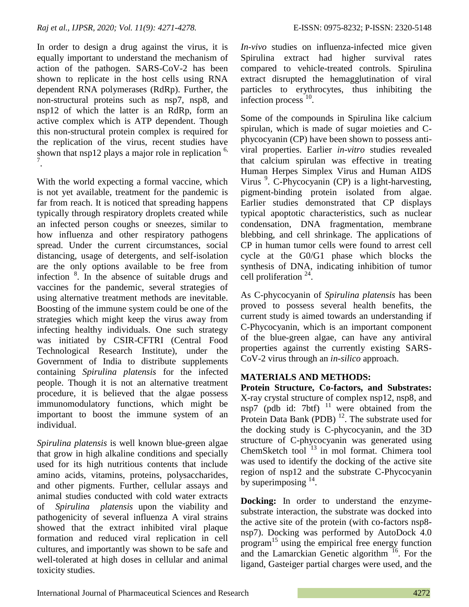In order to design a drug against the virus, it is equally important to understand the mechanism of action of the pathogen. SARS-CoV-2 has been shown to replicate in the host cells using RNA dependent RNA polymerases (RdRp). Further, the non-structural proteins such as nsp7, nsp8, and nsp12 of which the latter is an RdRp, form an active complex which is ATP dependent. Though this non-structural protein complex is required for the replication of the virus, recent studies have shown that nsp12 plays a major role in replication  $6$ , 7 .

With the world expecting a formal vaccine, which is not yet available, treatment for the pandemic is far from reach. It is noticed that spreading happens typically through respiratory droplets created while an infected person coughs or sneezes, similar to how influenza and other respiratory pathogens spread. Under the current circumstances, social distancing, usage of detergents, and self-isolation are the only options available to be free from infection <sup>8</sup> . In the absence of suitable drugs and vaccines for the pandemic, several strategies of using alternative treatment methods are inevitable. Boosting of the immune system could be one of the strategies which might keep the virus away from infecting healthy individuals. One such strategy was initiated by CSIR-CFTRI (Central Food Technological Research Institute), under the Government of India to distribute supplements containing *Spirulina platensis* for the infected people. Though it is not an alternative treatment procedure, it is believed that the algae possess immunomodulatory functions, which might be important to boost the immune system of an individual.

*Spirulina platensis* is well known blue-green algae that grow in high alkaline conditions and specially used for its high nutritious contents that include amino acids, vitamins, proteins, polysaccharides, and other pigments. Further, cellular assays and animal studies conducted with cold water extracts of *Spirulina platensis* upon the viability and pathogenicity of several influenza A viral strains showed that the extract inhibited viral plaque formation and reduced viral replication in cell cultures, and importantly was shown to be safe and well-tolerated at high doses in cellular and animal toxicity studies.

*In-vivo* studies on influenza-infected mice given Spirulina extract had higher survival rates compared to vehicle-treated controls. Spirulina extract disrupted the hemagglutination of viral particles to erythrocytes, thus inhibiting the infection process<sup>10</sup>.

Some of the compounds in Spirulina like calcium spirulan, which is made of sugar moieties and Cphycocyanin (CP) have been shown to possess antiviral properties. Earlier *in-vitro* studies revealed that calcium spirulan was effective in treating Human Herpes Simplex Virus and Human AIDS Virus<sup>9</sup>. C-Phycocyanin (CP) is a light-harvesting, pigment-binding protein isolated from algae. Earlier studies demonstrated that CP displays typical apoptotic characteristics, such as nuclear condensation, DNA fragmentation, membrane blebbing, and cell shrinkage. The applications of CP in human tumor cells were found to arrest cell cycle at the G0/G1 phase which blocks the synthesis of DNA, indicating inhibition of tumor cell proliferation  $24$ .

As C-phycocyanin of *Spirulina platensis* has been proved to possess several health benefits, the current study is aimed towards an understanding if C-Phycocyanin, which is an important component of the blue-green algae, can have any antiviral properties against the currently existing SARS-CoV-2 virus through an *in-silico* approach.

# **MATERIALS AND METHODS:**

**Protein Structure, Co-factors, and Substrates:** X-ray crystal structure of complex nsp12, nsp8, and nsp7 (pdb id: 7btf)  $11$  were obtained from the Protein Data Bank (PDB)<sup>12</sup>. The substrate used for the docking study is C-phycocyanin, and the 3D structure of C-phycocyanin was generated using ChemSketch tool<sup>13</sup> in mol format. Chimera tool was used to identify the docking of the active site region of nsp12 and the substrate C-Phycocyanin by superimposing  $14$ .

**Docking:** In order to understand the enzymesubstrate interaction, the substrate was docked into the active site of the protein (with co-factors nsp8 nsp7). Docking was performed by AutoDock 4.0 program <sup>15</sup> using the empirical free energy function and the Lamarckian Genetic algorithm  $16$ . For the ligand, Gasteiger partial charges were used, and the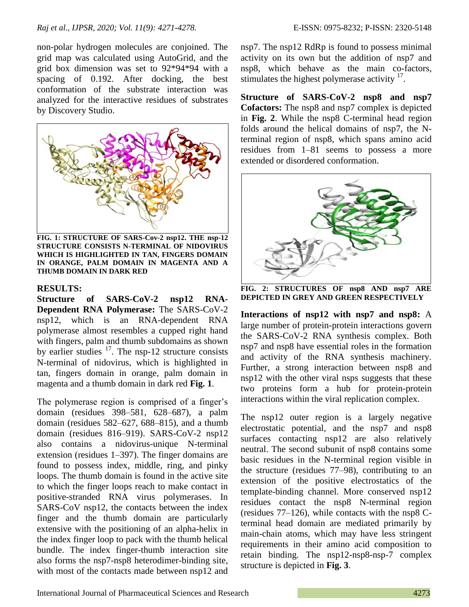non-polar hydrogen molecules are conjoined. The grid map was calculated using AutoGrid, and the grid box dimension was set to 92\*94\*94 with a spacing of 0.192. After docking, the best conformation of the substrate interaction was analyzed for the interactive residues of substrates by Discovery Studio.



**FIG. 1: STRUCTURE OF SARS-Cov-2 nsp12. THE nsp-12 STRUCTURE CONSISTS N-TERMINAL OF NIDOVIRUS WHICH IS HIGHLIGHTED IN TAN, FINGERS DOMAIN IN ORANGE, PALM DOMAIN IN MAGENTA AND A THUMB DOMAIN IN DARK RED**

## **RESULTS:**

**Structure of SARS-CoV-2 nsp12 RNA-Dependent RNA Polymerase:** The SARS-CoV-2 nsp12, which is an RNA-dependent RNA polymerase almost resembles a cupped right hand with fingers, palm and thumb subdomains as shown by earlier studies  $17$ . The nsp-12 structure consists N-terminal of nidovirus, which is highlighted in tan, fingers domain in orange, palm domain in magenta and a thumb domain in dark red **Fig. 1**.

The polymerase region is comprised of a finger's domain (residues 398–581, 628–687), a palm domain (residues 582–627, 688–815), and a thumb domain (residues 816–919). SARS-CoV-2 nsp12 also contains a nidovirus-unique N-terminal extension (residues 1–397). The finger domains are found to possess index, middle, ring, and pinky loops. The thumb domain is found in the active site to which the finger loops reach to make contact in positive-stranded RNA virus polymerases. In SARS-CoV nsp12, the contacts between the index finger and the thumb domain are particularly extensive with the positioning of an alpha-helix in the index finger loop to pack with the thumb helical bundle. The index finger-thumb interaction site also forms the nsp7-nsp8 heterodimer-binding site, with most of the contacts made between nsp12 and

nsp7. The nsp12 RdRp is found to possess minimal activity on its own but the addition of nsp7 and nsp8, which behave as the main co-factors, stimulates the highest polymerase activity  $17$ .

**Structure of SARS-CoV-2 nsp8 and nsp7 Cofactors:** The nsp8 and nsp7 complex is depicted in **Fig. 2**. While the nsp8 C-terminal head region folds around the helical domains of nsp7, the Nterminal region of nsp8, which spans amino acid residues from 1–81 seems to possess a more extended or disordered conformation.



**FIG. 2: STRUCTURES OF nsp8 AND nsp7 ARE DEPICTED IN GREY AND GREEN RESPECTIVELY**

**Interactions of nsp12 with nsp7 and nsp8:** A large number of protein-protein interactions govern the SARS-CoV-2 RNA synthesis complex. Both nsp7 and nsp8 have essential roles in the formation and activity of the RNA synthesis machinery. Further, a strong interaction between nsp8 and nsp12 with the other viral nsps suggests that these two proteins form a hub for protein-protein interactions within the viral replication complex.

The nsp12 outer region is a largely negative electrostatic potential, and the nsp7 and nsp8 surfaces contacting nsp12 are also relatively neutral. The second subunit of nsp8 contains some basic residues in the N-terminal region visible in the structure (residues 77–98), contributing to an extension of the positive electrostatics of the template-binding channel. More conserved nsp12 residues contact the nsp8 N-terminal region (residues 77–126), while contacts with the nsp8 Cterminal head domain are mediated primarily by main-chain atoms, which may have less stringent requirements in their amino acid composition to retain binding. The nsp12-nsp8-nsp-7 complex structure is depicted in **Fig. 3**.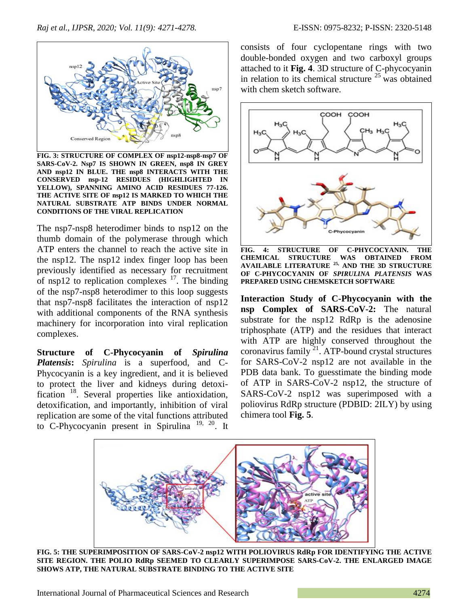

**FIG. 3: STRUCTURE OF COMPLEX OF nsp12-nsp8-nsp7 OF SARS-CoV-2. Nsp7 IS SHOWN IN GREEN, nsp8 IN GREY AND nsp12 IN BLUE. THE nsp8 INTERACTS WITH THE CONSERVED nsp-12 RESIDUES (HIGHLIGHTED IN YELLOW), SPANNING AMINO ACID RESIDUES 77-126. THE ACTIVE SITE OF nsp12 IS MARKED TO WHICH THE NATURAL SUBSTRATE ATP BINDS UNDER NORMAL CONDITIONS OF THE VIRAL REPLICATION**

The nsp7-nsp8 heterodimer binds to nsp12 on the thumb domain of the polymerase through which ATP enters the channel to reach the active site in the nsp12. The nsp12 index finger loop has been previously identified as necessary for recruitment of nsp12 to replication complexes  $17$ . The binding of the nsp7-nsp8 heterodimer to this loop suggests that nsp7-nsp8 facilitates the interaction of nsp12 with additional components of the RNA synthesis machinery for incorporation into viral replication complexes.

**Structure of C-Phycocyanin of** *Spirulina Platensis***:** *Spirulina* is a superfood, and C-Phycocyanin is a key ingredient, and it is believed to protect the liver and kidneys during detoxification<sup>18</sup>. Several properties like antioxidation, detoxification, and importantly, inhibition of viral replication are some of the vital functions attributed to C-Phycocyanin present in Spirulina<sup>19, 20</sup>. It

consists of four cyclopentane rings with two double-bonded oxygen and two carboxyl groups attached to it **Fig. 4**. 3D structure of C-phycocyanin in relation to its chemical structure  $25$  was obtained with chem sketch software.



**FIG. 4: STRUCTURE OF C-PHYCOCYANIN. THE CHEMICAL STRUCTURE WAS OBTAINED FROM AVAILABLE LITERATURE 25, AND THE 3D STRUCTURE OF C-PHYCOCYANIN OF** *SPIRULINA PLATENSIS* **WAS PREPARED USING CHEMSKETCH SOFTWARE**

**Interaction Study of C-Phycocyanin with the nsp Complex of SARS-CoV-2:** The natural substrate for the nsp12 RdRp is the adenosine triphosphate (ATP) and the residues that interact with ATP are highly conserved throughout the coronavirus family<sup>21</sup>. ATP-bound crystal structures for SARS-CoV-2 nsp12 are not available in the PDB data bank. To guesstimate the binding mode of ATP in SARS-CoV-2 nsp12, the structure of SARS-CoV-2 nsp12 was superimposed with a poliovirus RdRp structure (PDBID: 2ILY) by using chimera tool **Fig. 5**.



**FIG. 5: THE SUPERIMPOSITION OF SARS-CoV-2 nsp12 WITH POLIOVIRUS RdRp FOR IDENTIFYING THE ACTIVE SITE REGION. THE POLIO RdRp SEEMED TO CLEARLY SUPERIMPOSE SARS-CoV-2. THE ENLARGED IMAGE SHOWS ATP, THE NATURAL SUBSTRATE BINDING TO THE ACTIVE SITE**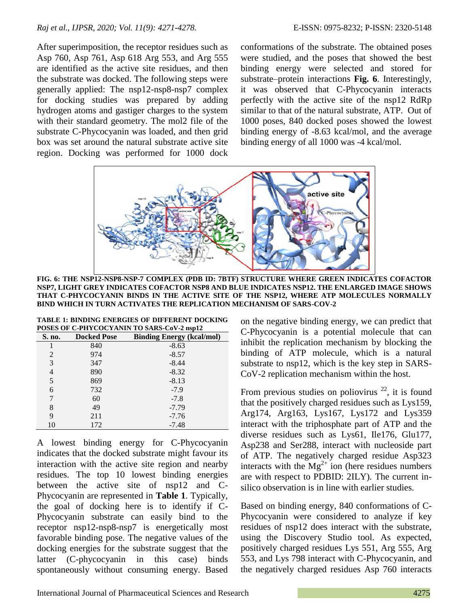After superimposition, the receptor residues such as Asp 760, Asp 761, Asp 618 Arg 553, and Arg 555 are identified as the active site residues, and then the substrate was docked. The following steps were generally applied: The nsp12-nsp8-nsp7 complex for docking studies was prepared by adding hydrogen atoms and gastiger charges to the system with their standard geometry. The mol2 file of the substrate C-Phycocyanin was loaded, and then grid box was set around the natural substrate active site region. Docking was performed for 1000 dock conformations of the substrate. The obtained poses were studied, and the poses that showed the best binding energy were selected and stored for substrate–protein interactions **Fig. 6**. Interestingly, it was observed that C-Phycocyanin interacts perfectly with the active site of the nsp12 RdRp similar to that of the natural substrate, ATP. Out of 1000 poses, 840 docked poses showed the lowest binding energy of -8.63 kcal/mol, and the average binding energy of all 1000 was -4 kcal/mol.



**FIG. 6: THE NSP12-NSP8-NSP-7 COMPLEX (PDB ID: 7BTF) STRUCTURE WHERE GREEN INDICATES COFACTOR NSP7, LIGHT GREY INDICATES COFACTOR NSP8 AND BLUE INDICATES NSP12. THE ENLARGED IMAGE SHOWS THAT C-PHYCOCYANIN BINDS IN THE ACTIVE SITE OF THE NSP12, WHERE ATP MOLECULES NORMALLY BIND WHICH IN TURN ACTIVATES THE REPLICATION MECHANISM OF SARS-COV-2**

| <b>TABLE 1: BINDING ENERGIES OF DIFFERENT DOCKING</b> |
|-------------------------------------------------------|
| POSES OF C-PHYCOCYANIN TO SARS-CoV-2 nsp12            |

| S. no. | <b>Docked Pose</b> | <b>Binding Energy (kcal/mol)</b> |
|--------|--------------------|----------------------------------|
|        | 840                | $-8.63$                          |
| 2      | 974                | $-8.57$                          |
| 3      | 347                | $-8.44$                          |
| 4      | 890                | $-8.32$                          |
| 5      | 869                | $-8.13$                          |
| 6      | 732                | $-7.9$                           |
| 7      | 60                 | $-7.8$                           |
| 8      | 49                 | $-7.79$                          |
| 9      | 211                | $-7.76$                          |
| 10     | 172                | $-7.48$                          |

A lowest binding energy for C-Phycocyanin indicates that the docked substrate might favour its interaction with the active site region and nearby residues. The top 10 lowest binding energies between the active site of nsp12 and C-Phycocyanin are represented in **Table 1**. Typically, the goal of docking here is to identify if C-Phycocyanin substrate can easily bind to the receptor nsp12-nsp8-nsp7 is energetically most favorable binding pose. The negative values of the docking energies for the substrate suggest that the latter (C-phycocyanin in this case) binds spontaneously without consuming energy. Based on the negative binding energy, we can predict that C-Phycocyanin is a potential molecule that can inhibit the replication mechanism by blocking the binding of ATP molecule, which is a natural substrate to nsp12, which is the key step in SARS-CoV-2 replication mechanism within the host.

From previous studies on poliovirus  $^{22}$ , it is found that the positively charged residues such as Lys159, Arg174, Arg163, Lys167, Lys172 and Lys359 interact with the triphosphate part of ATP and the diverse residues such as Lys61, Ile176, Glu177, Asp238 and Ser288, interact with nucleoside part of ATP. The negatively charged residue Asp323 interacts with the  $Mg^{2+}$  ion (here residues numbers are with respect to PDBID: 2ILY). The current insilico observation is in line with earlier studies.

Based on binding energy, 840 conformations of C-Phycocyanin were considered to analyze if key residues of nsp12 does interact with the substrate, using the Discovery Studio tool. As expected, positively charged residues Lys 551, Arg 555, Arg 553, and Lys 798 interact with C-Phycocyanin, and the negatively charged residues Asp 760 interacts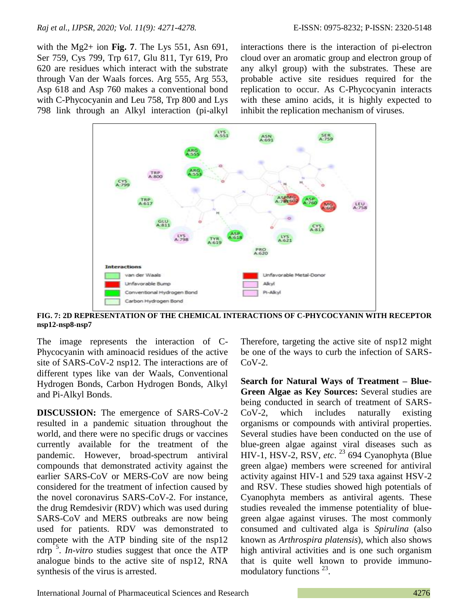with the Mg2+ ion **Fig. 7**. The Lys 551, Asn 691, Ser 759, Cys 799, Trp 617, Glu 811, Tyr 619, Pro 620 are residues which interact with the substrate through Van der Waals forces. Arg 555, Arg 553, Asp 618 and Asp 760 makes a conventional bond with C-Phycocyanin and Leu 758, Trp 800 and Lys 798 link through an Alkyl interaction (pi-alkyl interactions there is the interaction of pi-electron cloud over an aromatic group and electron group of any alkyl group) with the substrates. These are probable active site residues required for the replication to occur. As C-Phycocyanin interacts with these amino acids, it is highly expected to inhibit the replication mechanism of viruses.



**FIG. 7: 2D REPRESENTATION OF THE CHEMICAL INTERACTIONS OF C-PHYCOCYANIN WITH RECEPTOR nsp12-nsp8-nsp7**

The image represents the interaction of C-Phycocyanin with aminoacid residues of the active site of SARS-CoV-2 nsp12. The interactions are of different types like van der Waals, Conventional Hydrogen Bonds, Carbon Hydrogen Bonds, Alkyl and Pi-Alkyl Bonds.

**DISCUSSION:** The emergence of SARS-CoV-2 resulted in a pandemic situation throughout the world, and there were no specific drugs or vaccines currently available for the treatment of the pandemic. However, broad-spectrum antiviral compounds that demonstrated activity against the earlier SARS-CoV or MERS-CoV are now being considered for the treatment of infection caused by the novel coronavirus SARS-CoV-2. For instance, the drug Remdesivir (RDV) which was used during SARS-CoV and MERS outbreaks are now being used for patients. RDV was demonstrated to compete with the ATP binding site of the nsp12 rdrp<sup>5</sup>. *In-vitro* studies suggest that once the ATP analogue binds to the active site of nsp12, RNA synthesis of the virus is arrested.

Therefore, targeting the active site of nsp12 might be one of the ways to curb the infection of SARS- $CoV-2.$ 

**Search for Natural Ways of Treatment – Blue-Green Algae as Key Sources:** Several studies are being conducted in search of treatment of SARS-CoV-2, which includes naturally existing organisms or compounds with antiviral properties. Several studies have been conducted on the use of blue-green algae against viral diseases such as HIV-1, HSV-2, RSV, *etc*. <sup>23</sup> 694 Cyanophyta (Blue green algae) members were screened for antiviral activity against HIV-1 and 529 taxa against HSV-2 and RSV. These studies showed high potentials of Cyanophyta members as antiviral agents. These studies revealed the immense potentiality of bluegreen algae against viruses. The most commonly consumed and cultivated alga is *Spirulina* (also known as *Arthrospira platensis*), which also shows high antiviral activities and is one such organism that is quite well known to provide immunomodulatory functions<sup>23</sup>.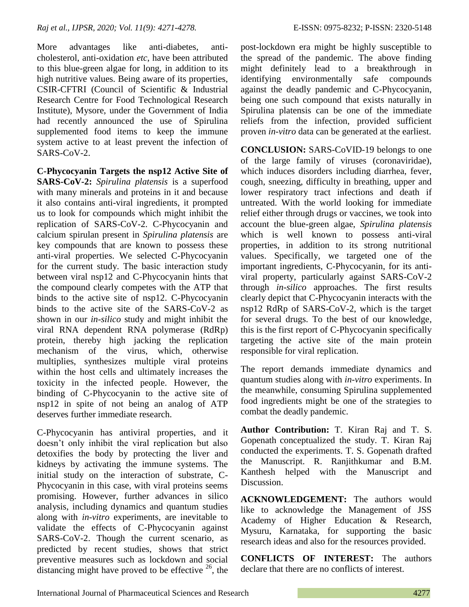More advantages like anti-diabetes, anticholesterol, anti-oxidation *etc*, have been attributed to this blue-green algae for long, in addition to its high nutritive values. Being aware of its properties, CSIR-CFTRI (Council of Scientific & Industrial Research Centre for Food Technological Research Institute), Mysore, under the Government of India had recently announced the use of Spirulina supplemented food items to keep the immune system active to at least prevent the infection of SARS-CoV-2.

**C-Phycocyanin Targets the nsp12 Active Site of SARS-CoV-2:** *Spirulina platensis* is a superfood with many minerals and proteins in it and because it also contains anti-viral ingredients, it prompted us to look for compounds which might inhibit the replication of SARS-CoV-2. C-Phycocyanin and calcium spirulan present in *Spirulina platensis* are key compounds that are known to possess these anti-viral properties. We selected C-Phycocyanin for the current study. The basic interaction study between viral nsp12 and C-Phycocyanin hints that the compound clearly competes with the ATP that binds to the active site of nsp12. C-Phycocyanin binds to the active site of the SARS-CoV-2 as shown in our *in-silico* study and might inhibit the viral RNA dependent RNA polymerase (RdRp) protein, thereby high jacking the replication mechanism of the virus, which, otherwise multiplies, synthesizes multiple viral proteins within the host cells and ultimately increases the toxicity in the infected people. However, the binding of C-Phycocyanin to the active site of nsp12 in spite of not being an analog of ATP deserves further immediate research.

C-Phycocyanin has antiviral properties, and it doesn't only inhibit the viral replication but also detoxifies the body by protecting the liver and kidneys by activating the immune systems. The initial study on the interaction of substrate, C-Phycocyanin in this case, with viral proteins seems promising. However, further advances in silico analysis, including dynamics and quantum studies along with *in-vitro* experiments, are inevitable to validate the effects of C-Phycocyanin against SARS-CoV-2. Though the current scenario, as predicted by recent studies, shows that strict preventive measures such as lockdown and social distancing might have proved to be effective  $26$ , the

post-lockdown era might be highly susceptible to the spread of the pandemic. The above finding might definitely lead to a breakthrough in identifying environmentally safe compounds against the deadly pandemic and C-Phycocyanin, being one such compound that exists naturally in Spirulina platensis can be one of the immediate reliefs from the infection, provided sufficient proven *in-vitro* data can be generated at the earliest.

**CONCLUSION:** SARS-CoVID-19 belongs to one of the large family of viruses (coronaviridae), which induces disorders including diarrhea, fever, cough, sneezing, difficulty in breathing, upper and lower respiratory tract infections and death if untreated. With the world looking for immediate relief either through drugs or vaccines, we took into account the blue-green algae, *Spirulina platensis* which is well known to possess anti-viral properties, in addition to its strong nutritional values. Specifically, we targeted one of the important ingredients, C-Phycocyanin, for its antiviral property, particularly against SARS-CoV-2 through *in-silico* approaches. The first results clearly depict that C-Phycocyanin interacts with the nsp12 RdRp of SARS-CoV-2, which is the target for several drugs. To the best of our knowledge, this is the first report of C-Phycocyanin specifically targeting the active site of the main protein responsible for viral replication.

The report demands immediate dynamics and quantum studies along with *in-vitro* experiments. In the meanwhile, consuming Spirulina supplemented food ingredients might be one of the strategies to combat the deadly pandemic.

**Author Contribution:** T. Kiran Raj and T. S. Gopenath conceptualized the study. T. Kiran Raj conducted the experiments. T. S. Gopenath drafted the Manuscript. R. Ranjithkumar and B.M. Kanthesh helped with the Manuscript and Discussion.

**ACKNOWLEDGEMENT:** The authors would like to acknowledge the Management of JSS Academy of Higher Education & Research, Mysuru, Karnataka, for supporting the basic research ideas and also for the resources provided.

**CONFLICTS OF INTEREST:** The authors declare that there are no conflicts of interest.